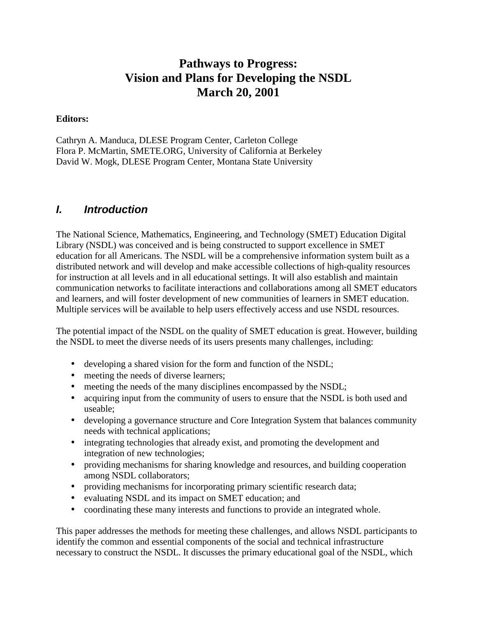# **Pathways to Progress: Vision and Plans for Developing the NSDL March 20, 2001**

#### **Editors:**

Cathryn A. Manduca, DLESE Program Center, Carleton College Flora P. McMartin, SMETE.ORG, University of California at Berkeley David W. Mogk, DLESE Program Center, Montana State University

### *I. Introduction*

The National Science, Mathematics, Engineering, and Technology (SMET) Education Digital Library (NSDL) was conceived and is being constructed to support excellence in SMET education for all Americans. The NSDL will be a comprehensive information system built as a distributed network and will develop and make accessible collections of high-quality resources for instruction at all levels and in all educational settings. It will also establish and maintain communication networks to facilitate interactions and collaborations among all SMET educators and learners, and will foster development of new communities of learners in SMET education. Multiple services will be available to help users effectively access and use NSDL resources.

The potential impact of the NSDL on the quality of SMET education is great. However, building the NSDL to meet the diverse needs of its users presents many challenges, including:

- developing a shared vision for the form and function of the NSDL;
- meeting the needs of diverse learners;
- meeting the needs of the many disciplines encompassed by the NSDL;
- acquiring input from the community of users to ensure that the NSDL is both used and useable;
- developing a governance structure and Core Integration System that balances community needs with technical applications;
- integrating technologies that already exist, and promoting the development and integration of new technologies;
- providing mechanisms for sharing knowledge and resources, and building cooperation among NSDL collaborators;
- providing mechanisms for incorporating primary scientific research data;
- evaluating NSDL and its impact on SMET education; and
- coordinating these many interests and functions to provide an integrated whole.

This paper addresses the methods for meeting these challenges, and allows NSDL participants to identify the common and essential components of the social and technical infrastructure necessary to construct the NSDL. It discusses the primary educational goal of the NSDL, which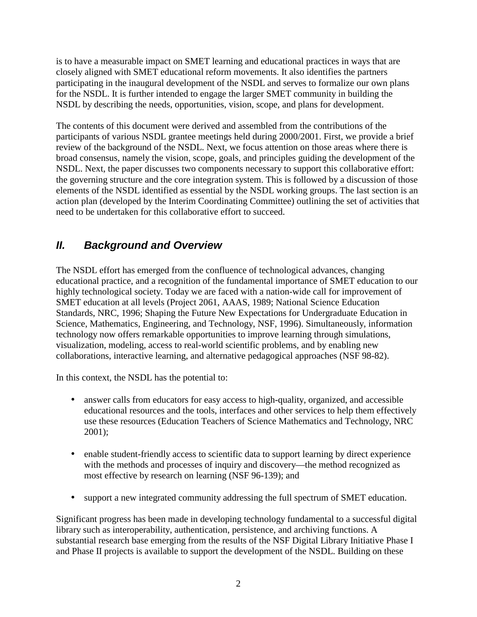is to have a measurable impact on SMET learning and educational practices in ways that are closely aligned with SMET educational reform movements. It also identifies the partners participating in the inaugural development of the NSDL and serves to formalize our own plans for the NSDL. It is further intended to engage the larger SMET community in building the NSDL by describing the needs, opportunities, vision, scope, and plans for development.

The contents of this document were derived and assembled from the contributions of the participants of various NSDL grantee meetings held during 2000/2001. First, we provide a brief review of the background of the NSDL. Next, we focus attention on those areas where there is broad consensus, namely the vision, scope, goals, and principles guiding the development of the NSDL. Next, the paper discusses two components necessary to support this collaborative effort: the governing structure and the core integration system. This is followed by a discussion of those elements of the NSDL identified as essential by the NSDL working groups. The last section is an action plan (developed by the Interim Coordinating Committee) outlining the set of activities that need to be undertaken for this collaborative effort to succeed.

## *II. Background and Overview*

The NSDL effort has emerged from the confluence of technological advances, changing educational practice, and a recognition of the fundamental importance of SMET education to our highly technological society. Today we are faced with a nation-wide call for improvement of SMET education at all levels (Project 2061, AAAS, 1989; National Science Education Standards, NRC, 1996; Shaping the Future New Expectations for Undergraduate Education in Science, Mathematics, Engineering, and Technology, NSF, 1996). Simultaneously, information technology now offers remarkable opportunities to improve learning through simulations, visualization, modeling, access to real-world scientific problems, and by enabling new collaborations, interactive learning, and alternative pedagogical approaches (NSF 98-82).

In this context, the NSDL has the potential to:

- answer calls from educators for easy access to high-quality, organized, and accessible educational resources and the tools, interfaces and other services to help them effectively use these resources (Education Teachers of Science Mathematics and Technology, NRC 2001);
- enable student-friendly access to scientific data to support learning by direct experience with the methods and processes of inquiry and discovery—the method recognized as most effective by research on learning (NSF 96-139); and
- support a new integrated community addressing the full spectrum of SMET education.

Significant progress has been made in developing technology fundamental to a successful digital library such as interoperability, authentication, persistence, and archiving functions. A substantial research base emerging from the results of the NSF Digital Library Initiative Phase I and Phase II projects is available to support the development of the NSDL. Building on these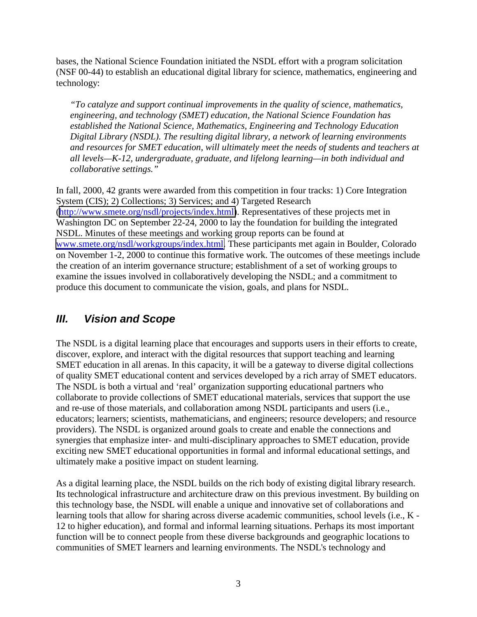bases, the National Science Foundation initiated the NSDL effort with a program solicitation (NSF 00-44) to establish an educational digital library for science, mathematics, engineering and technology:

*"To catalyze and support continual improvements in the quality of science, mathematics, engineering, and technology (SMET) education, the National Science Foundation has established the National Science, Mathematics, Engineering and Technology Education Digital Library (NSDL). The resulting digital library, a network of learning environments and resources for SMET education, will ultimately meet the needs of students and teachers at all levels—K-12, undergraduate, graduate, and lifelong learning—in both individual and collaborative settings."* 

In fall, 2000, 42 grants were awarded from this competition in four tracks: 1) Core Integration System (CIS); 2) Collections; 3) Services; and 4) Targeted Research [\(http://www.smete.org/nsdl/projects/index.html\)](http://www.smete.org/nsdl/projects/index.html). Representatives of these projects met in Washington DC on September 22-24, 2000 to lay the foundation for building the integrated NSDL. Minutes of these meetings and working group reports can be found at [www.smete.org/nsdl/workgroups/index.html.](http://www.smete.org/nsdl/workgroups/index.html) These participants met again in Boulder, Colorado on November 1-2, 2000 to continue this formative work. The outcomes of these meetings include the creation of an interim governance structure; establishment of a set of working groups to examine the issues involved in collaboratively developing the NSDL; and a commitment to produce this document to communicate the vision, goals, and plans for NSDL.

### *III. Vision and Scope*

The NSDL is a digital learning place that encourages and supports users in their efforts to create, discover, explore, and interact with the digital resources that support teaching and learning SMET education in all arenas. In this capacity, it will be a gateway to diverse digital collections of quality SMET educational content and services developed by a rich array of SMET educators. The NSDL is both a virtual and 'real' organization supporting educational partners who collaborate to provide collections of SMET educational materials, services that support the use and re-use of those materials, and collaboration among NSDL participants and users (i.e., educators; learners; scientists, mathematicians, and engineers; resource developers; and resource providers). The NSDL is organized around goals to create and enable the connections and synergies that emphasize inter- and multi-disciplinary approaches to SMET education, provide exciting new SMET educational opportunities in formal and informal educational settings, and ultimately make a positive impact on student learning.

As a digital learning place, the NSDL builds on the rich body of existing digital library research. Its technological infrastructure and architecture draw on this previous investment. By building on this technology base, the NSDL will enable a unique and innovative set of collaborations and learning tools that allow for sharing across diverse academic communities, school levels (i.e., K - 12 to higher education), and formal and informal learning situations. Perhaps its most important function will be to connect people from these diverse backgrounds and geographic locations to communities of SMET learners and learning environments. The NSDL's technology and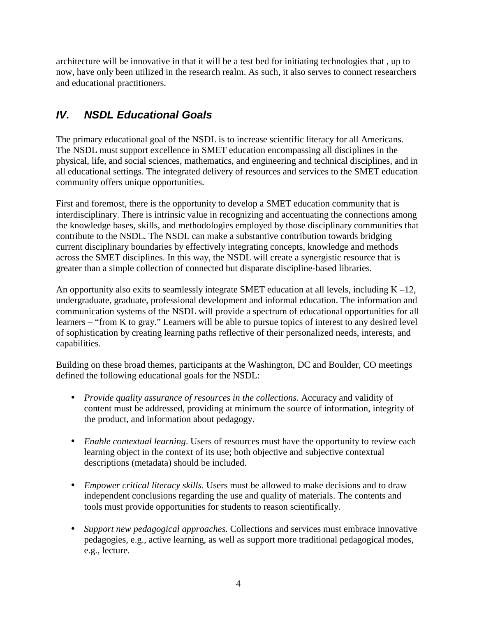architecture will be innovative in that it will be a test bed for initiating technologies that , up to now, have only been utilized in the research realm. As such, it also serves to connect researchers and educational practitioners.

# *IV. NSDL Educational Goals*

The primary educational goal of the NSDL is to increase scientific literacy for all Americans. The NSDL must support excellence in SMET education encompassing all disciplines in the physical, life, and social sciences, mathematics, and engineering and technical disciplines, and in all educational settings. The integrated delivery of resources and services to the SMET education community offers unique opportunities.

First and foremost, there is the opportunity to develop a SMET education community that is interdisciplinary. There is intrinsic value in recognizing and accentuating the connections among the knowledge bases, skills, and methodologies employed by those disciplinary communities that contribute to the NSDL. The NSDL can make a substantive contribution towards bridging current disciplinary boundaries by effectively integrating concepts, knowledge and methods across the SMET disciplines. In this way, the NSDL will create a synergistic resource that is greater than a simple collection of connected but disparate discipline-based libraries.

An opportunity also exits to seamlessly integrate SMET education at all levels, including K –12, undergraduate, graduate, professional development and informal education. The information and communication systems of the NSDL will provide a spectrum of educational opportunities for all learners – "from K to gray." Learners will be able to pursue topics of interest to any desired level of sophistication by creating learning paths reflective of their personalized needs, interests, and capabilities.

Building on these broad themes, participants at the Washington, DC and Boulder, CO meetings defined the following educational goals for the NSDL:

- *Provide quality assurance of resources in the collections.* Accuracy and validity of content must be addressed, providing at minimum the source of information, integrity of the product, and information about pedagogy.
- *Enable contextual learning*. Users of resources must have the opportunity to review each learning object in the context of its use; both objective and subjective contextual descriptions (metadata) should be included.
- *Empower critical literacy skills.* Users must be allowed to make decisions and to draw independent conclusions regarding the use and quality of materials. The contents and tools must provide opportunities for students to reason scientifically.
- *Support new pedagogical approaches.* Collections and services must embrace innovative pedagogies, e.g., active learning, as well as support more traditional pedagogical modes, e.g., lecture.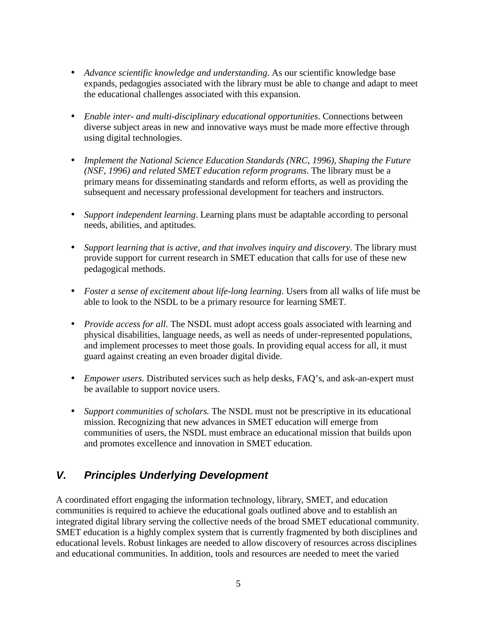- *Advance scientific knowledge and understanding*. As our scientific knowledge base expands, pedagogies associated with the library must be able to change and adapt to meet the educational challenges associated with this expansion.
- *Enable inter- and multi-disciplinary educational opportunities*. Connections between diverse subject areas in new and innovative ways must be made more effective through using digital technologies.
- *Implement the National Science Education Standards (NRC, 1996), Shaping the Future (NSF, 1996) and related SMET education reform programs*. The library must be a primary means for disseminating standards and reform efforts, as well as providing the subsequent and necessary professional development for teachers and instructors*.*
- *Support independent learning*. Learning plans must be adaptable according to personal needs, abilities, and aptitudes.
- *Support learning that is active, and that involves inquiry and discovery.* The library must provide support for current research in SMET education that calls for use of these new pedagogical methods.
- *Foster a sense of excitement about life-long learning*. Users from all walks of life must be able to look to the NSDL to be a primary resource for learning SMET.
- *Provide access for all.* The NSDL must adopt access goals associated with learning and physical disabilities, language needs, as well as needs of under-represented populations, and implement processes to meet those goals. In providing equal access for all, it must guard against creating an even broader digital divide.
- *Empower users.* Distributed services such as help desks, FAQ's, and ask-an-expert must be available to support novice users.
- *Support communities of scholars.* The NSDL must not be prescriptive in its educational mission. Recognizing that new advances in SMET education will emerge from communities of users, the NSDL must embrace an educational mission that builds upon and promotes excellence and innovation in SMET education.

### *V. Principles Underlying Development*

A coordinated effort engaging the information technology, library, SMET, and education communities is required to achieve the educational goals outlined above and to establish an integrated digital library serving the collective needs of the broad SMET educational community. SMET education is a highly complex system that is currently fragmented by both disciplines and educational levels. Robust linkages are needed to allow discovery of resources across disciplines and educational communities. In addition, tools and resources are needed to meet the varied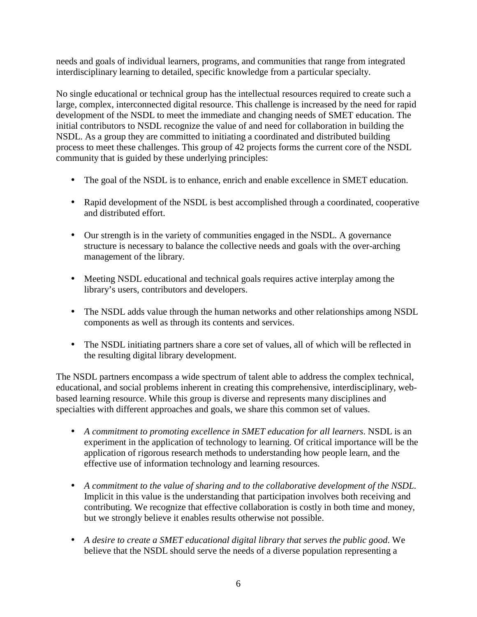needs and goals of individual learners, programs, and communities that range from integrated interdisciplinary learning to detailed, specific knowledge from a particular specialty.

No single educational or technical group has the intellectual resources required to create such a large, complex, interconnected digital resource. This challenge is increased by the need for rapid development of the NSDL to meet the immediate and changing needs of SMET education. The initial contributors to NSDL recognize the value of and need for collaboration in building the NSDL. As a group they are committed to initiating a coordinated and distributed building process to meet these challenges. This group of 42 projects forms the current core of the NSDL community that is guided by these underlying principles:

- The goal of the NSDL is to enhance, enrich and enable excellence in SMET education.
- Rapid development of the NSDL is best accomplished through a coordinated, cooperative and distributed effort.
- Our strength is in the variety of communities engaged in the NSDL. A governance structure is necessary to balance the collective needs and goals with the over-arching management of the library.
- Meeting NSDL educational and technical goals requires active interplay among the library's users, contributors and developers.
- The NSDL adds value through the human networks and other relationships among NSDL components as well as through its contents and services.
- The NSDL initiating partners share a core set of values, all of which will be reflected in the resulting digital library development.

The NSDL partners encompass a wide spectrum of talent able to address the complex technical, educational, and social problems inherent in creating this comprehensive, interdisciplinary, webbased learning resource. While this group is diverse and represents many disciplines and specialties with different approaches and goals, we share this common set of values.

- *A commitment to promoting excellence in SMET education for all learners*. NSDL is an experiment in the application of technology to learning. Of critical importance will be the application of rigorous research methods to understanding how people learn, and the effective use of information technology and learning resources.
- *A commitment to the value of sharing and to the collaborative development of the NSDL.*  Implicit in this value is the understanding that participation involves both receiving and contributing. We recognize that effective collaboration is costly in both time and money, but we strongly believe it enables results otherwise not possible.
- *A desire to create a SMET educational digital library that serves the public good*. We believe that the NSDL should serve the needs of a diverse population representing a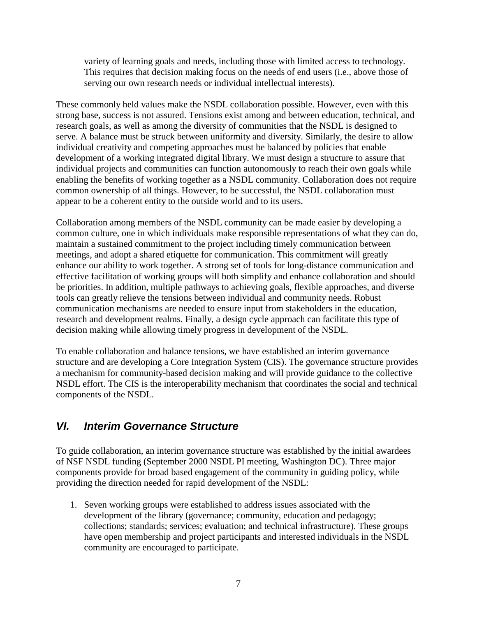variety of learning goals and needs, including those with limited access to technology. This requires that decision making focus on the needs of end users (i.e., above those of serving our own research needs or individual intellectual interests).

These commonly held values make the NSDL collaboration possible. However, even with this strong base, success is not assured. Tensions exist among and between education, technical, and research goals, as well as among the diversity of communities that the NSDL is designed to serve. A balance must be struck between uniformity and diversity. Similarly, the desire to allow individual creativity and competing approaches must be balanced by policies that enable development of a working integrated digital library. We must design a structure to assure that individual projects and communities can function autonomously to reach their own goals while enabling the benefits of working together as a NSDL community. Collaboration does not require common ownership of all things. However, to be successful, the NSDL collaboration must appear to be a coherent entity to the outside world and to its users.

Collaboration among members of the NSDL community can be made easier by developing a common culture, one in which individuals make responsible representations of what they can do, maintain a sustained commitment to the project including timely communication between meetings, and adopt a shared etiquette for communication. This commitment will greatly enhance our ability to work together. A strong set of tools for long-distance communication and effective facilitation of working groups will both simplify and enhance collaboration and should be priorities. In addition, multiple pathways to achieving goals, flexible approaches, and diverse tools can greatly relieve the tensions between individual and community needs. Robust communication mechanisms are needed to ensure input from stakeholders in the education, research and development realms. Finally, a design cycle approach can facilitate this type of decision making while allowing timely progress in development of the NSDL.

To enable collaboration and balance tensions, we have established an interim governance structure and are developing a Core Integration System (CIS). The governance structure provides a mechanism for community-based decision making and will provide guidance to the collective NSDL effort. The CIS is the interoperability mechanism that coordinates the social and technical components of the NSDL.

### *VI. Interim Governance Structure*

To guide collaboration, an interim governance structure was established by the initial awardees of NSF NSDL funding (September 2000 NSDL PI meeting, Washington DC). Three major components provide for broad based engagement of the community in guiding policy, while providing the direction needed for rapid development of the NSDL:

1. Seven working groups were established to address issues associated with the development of the library (governance; community, education and pedagogy; collections; standards; services; evaluation; and technical infrastructure). These groups have open membership and project participants and interested individuals in the NSDL community are encouraged to participate.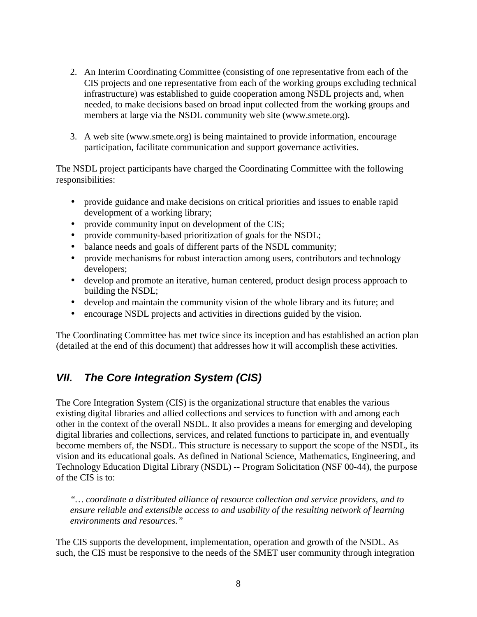- 2. An Interim Coordinating Committee (consisting of one representative from each of the CIS projects and one representative from each of the working groups excluding technical infrastructure) was established to guide cooperation among NSDL projects and, when needed, to make decisions based on broad input collected from the working groups and members at large via the NSDL community web site (www.smete.org).
- 3. A web site (www.smete.org) is being maintained to provide information, encourage participation, facilitate communication and support governance activities.

The NSDL project participants have charged the Coordinating Committee with the following responsibilities:

- provide guidance and make decisions on critical priorities and issues to enable rapid development of a working library;
- provide community input on development of the CIS;
- provide community-based prioritization of goals for the NSDL;
- balance needs and goals of different parts of the NSDL community;
- provide mechanisms for robust interaction among users, contributors and technology developers;
- develop and promote an iterative, human centered, product design process approach to building the NSDL;
- develop and maintain the community vision of the whole library and its future; and
- encourage NSDL projects and activities in directions guided by the vision.

The Coordinating Committee has met twice since its inception and has established an action plan (detailed at the end of this document) that addresses how it will accomplish these activities.

### *VII. The Core Integration System (CIS)*

The Core Integration System (CIS) is the organizational structure that enables the various existing digital libraries and allied collections and services to function with and among each other in the context of the overall NSDL. It also provides a means for emerging and developing digital libraries and collections, services, and related functions to participate in, and eventually become members of, the NSDL. This structure is necessary to support the scope of the NSDL, its vision and its educational goals. As defined in National Science, Mathematics, Engineering, and Technology Education Digital Library (NSDL) -- Program Solicitation (NSF 00-44), the purpose of the CIS is to:

*"… coordinate a distributed alliance of resource collection and service providers, and to ensure reliable and extensible access to and usability of the resulting network of learning environments and resources."* 

The CIS supports the development, implementation, operation and growth of the NSDL. As such, the CIS must be responsive to the needs of the SMET user community through integration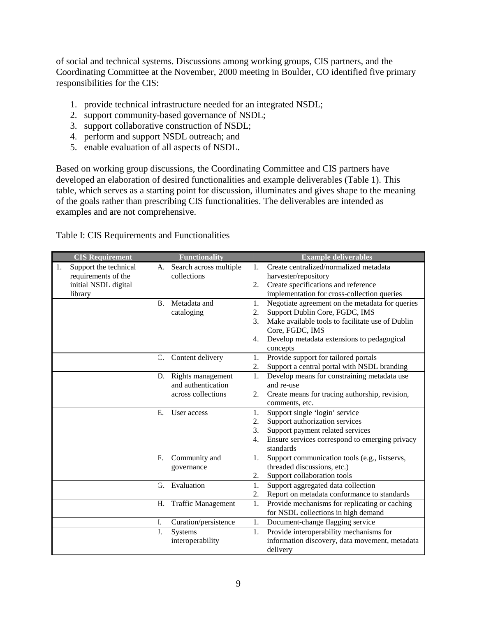of social and technical systems. Discussions among working groups, CIS partners, and the Coordinating Committee at the November, 2000 meeting in Boulder, CO identified five primary responsibilities for the CIS:

- 1. provide technical infrastructure needed for an integrated NSDL;
- 2. support community-based governance of NSDL;
- 3. support collaborative construction of NSDL;
- 4. perform and support NSDL outreach; and
- 5. enable evaluation of all aspects of NSDL.

Based on working group discussions, the Coordinating Committee and CIS partners have developed an elaboration of desired functionalities and example deliverables (Table 1). This table, which serves as a starting point for discussion, illuminates and gives shape to the meaning of the goals rather than prescribing CIS functionalities. The deliverables are intended as examples and are not comprehensive.

| Table I: CIS Requirements and Functionalities |  |
|-----------------------------------------------|--|
|-----------------------------------------------|--|

|    | <b>CIS Requirement</b> |    | <b>Functionality</b>      |                             | <b>Example deliverables</b>                      |
|----|------------------------|----|---------------------------|-----------------------------|--------------------------------------------------|
| 1. | Support the technical  |    | A. Search across multiple | 1.                          | Create centralized/normalized metadata           |
|    | requirements of the    |    | collections               |                             | harvester/repository                             |
|    | initial NSDL digital   |    |                           | 2.                          | Create specifications and reference              |
|    | library                |    |                           |                             | implementation for cross-collection queries      |
|    |                        | B. | Metadata and              | 1.                          | Negotiate agreement on the metadata for queries  |
|    |                        |    | cataloging                | 2.                          | Support Dublin Core, FGDC, IMS                   |
|    |                        |    |                           | $\mathcal{F}_{\mathcal{L}}$ | Make available tools to facilitate use of Dublin |
|    |                        |    |                           |                             | Core, FGDC, IMS                                  |
|    |                        |    |                           | 4.                          | Develop metadata extensions to pedagogical       |
|    |                        |    |                           |                             | concepts                                         |
|    |                        | С. | Content delivery          | 1.                          | Provide support for tailored portals             |
|    |                        |    |                           | 2.                          | Support a central portal with NSDL branding      |
|    |                        | D. | Rights management         | 1.                          | Develop means for constraining metadata use      |
|    |                        |    | and authentication        |                             | and re-use                                       |
|    |                        |    | across collections        | 2.                          | Create means for tracing authorship, revision,   |
|    |                        |    |                           |                             | comments, etc.                                   |
|    |                        | Е. | User access               | 1.                          | Support single 'login' service                   |
|    |                        |    |                           | 2.                          | Support authorization services                   |
|    |                        |    |                           | 3.                          | Support payment related services                 |
|    |                        |    |                           | 4.                          | Ensure services correspond to emerging privacy   |
|    |                        |    |                           |                             | standards                                        |
|    |                        | F. | Community and             | 1.                          | Support communication tools (e.g., listservs,    |
|    |                        |    | governance                |                             | threaded discussions, etc.)                      |
|    |                        |    |                           | 2.                          | Support collaboration tools                      |
|    |                        | G. | Evaluation                | 1.                          | Support aggregated data collection               |
|    |                        |    |                           | 2.                          | Report on metadata conformance to standards      |
|    |                        | Н. | <b>Traffic Management</b> | 1.                          | Provide mechanisms for replicating or caching    |
|    |                        |    |                           |                             | for NSDL collections in high demand              |
|    |                        | I. | Curation/persistence      | 1.                          | Document-change flagging service                 |
|    |                        | J. | <b>Systems</b>            | 1.                          | Provide interoperability mechanisms for          |
|    |                        |    | interoperability          |                             | information discovery, data movement, metadata   |
|    |                        |    |                           |                             | delivery                                         |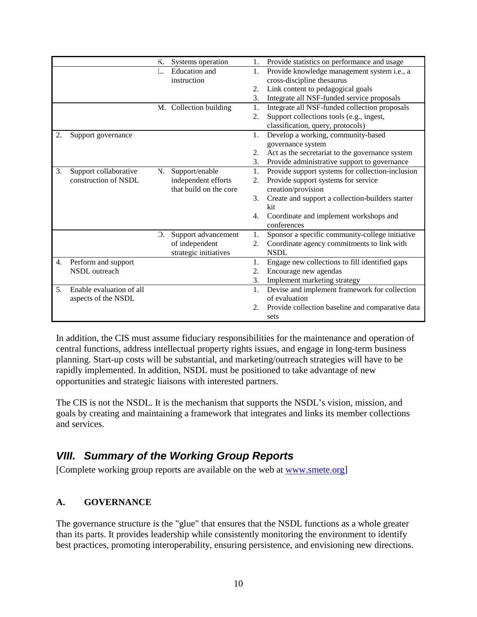|    |                          |    | K. Systems operation   | 1. | Provide statistics on performance and usage      |
|----|--------------------------|----|------------------------|----|--------------------------------------------------|
|    |                          |    | Education and          | 1. | Provide knowledge management system i.e., a      |
|    |                          |    | instruction            |    | cross-discipline thesaurus                       |
|    |                          |    |                        | 2. | Link content to pedagogical goals                |
|    |                          |    |                        | 3. | Integrate all NSF-funded service proposals       |
|    |                          |    | M. Collection building | 1. | Integrate all NSF-funded collection proposals    |
|    |                          |    |                        | 2. | Support collections tools (e.g., ingest,         |
|    |                          |    |                        |    | classification, query, protocols)                |
| 2. | Support governance       |    |                        | 1. | Develop a working, community-based               |
|    |                          |    |                        |    | governance system                                |
|    |                          |    |                        | 2. | Act as the secretariat to the governance system  |
|    |                          |    |                        | 3. | Provide administrative support to governance     |
| 3. | Support collaborative    | N. | Support/enable         | 1. | Provide support systems for collection-inclusion |
|    | construction of NSDL     |    | independent efforts    | 2. | Provide support systems for service              |
|    |                          |    | that build on the core |    | creation/provision                               |
|    |                          |    |                        | 3. | Create and support a collection-builders starter |
|    |                          |    |                        |    | kit                                              |
|    |                          |    |                        | 4. | Coordinate and implement workshops and           |
|    |                          |    |                        |    | conferences                                      |
|    |                          | 0. | Support advancement    | 1. | Sponsor a specific community-college initiative  |
|    |                          |    | of independent         | 2. | Coordinate agency commitments to link with       |
|    |                          |    | strategic initiatives  |    | <b>NSDL</b>                                      |
| 4. | Perform and support      |    |                        | 1. | Engage new collections to fill identified gaps   |
|    | NSDL outreach            |    |                        | 2. | Encourage new agendas                            |
|    |                          |    |                        | 3. | Implement marketing strategy                     |
| 5. | Enable evaluation of all |    |                        | 1. | Devise and implement framework for collection    |
|    | aspects of the NSDL      |    |                        |    | of evaluation                                    |
|    |                          |    |                        | 2. | Provide collection baseline and comparative data |
|    |                          |    |                        |    | sets                                             |

In addition, the CIS must assume fiduciary responsibilities for the maintenance and operation of central functions, address intellectual property rights issues, and engage in long-term business planning. Start-up costs will be substantial, and marketing/outreach strategies will have to be rapidly implemented. In addition, NSDL must be positioned to take advantage of new opportunities and strategic liaisons with interested partners.

The CIS is not the NSDL. It is the mechanism that supports the NSDL's vision, mission, and goals by creating and maintaining a framework that integrates and links its member collections and services.

### *VIII. Summary of the Working Group Reports*

[Complete working group reports are available on the web at www.smete.org]

#### **A. GOVERNANCE**

The governance structure is the "glue" that ensures that the NSDL functions as a whole greater than its parts. It provides leadership while consistently monitoring the environment to identify best practices, promoting interoperability, ensuring persistence, and envisioning new directions.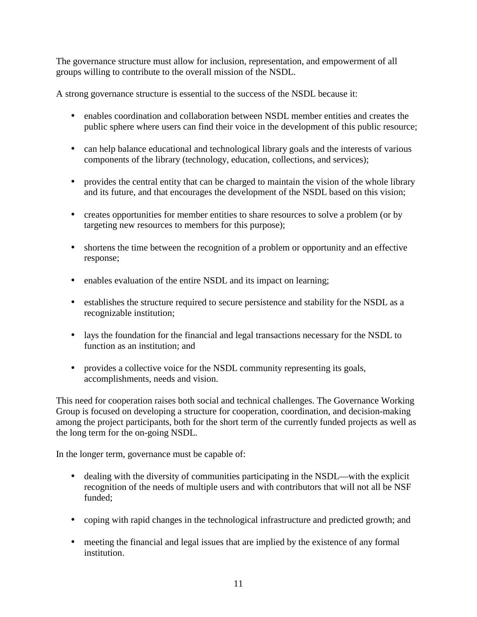The governance structure must allow for inclusion, representation, and empowerment of all groups willing to contribute to the overall mission of the NSDL.

A strong governance structure is essential to the success of the NSDL because it:

- enables coordination and collaboration between NSDL member entities and creates the public sphere where users can find their voice in the development of this public resource;
- can help balance educational and technological library goals and the interests of various components of the library (technology, education, collections, and services);
- provides the central entity that can be charged to maintain the vision of the whole library and its future, and that encourages the development of the NSDL based on this vision;
- creates opportunities for member entities to share resources to solve a problem (or by targeting new resources to members for this purpose);
- shortens the time between the recognition of a problem or opportunity and an effective response;
- enables evaluation of the entire NSDL and its impact on learning;
- establishes the structure required to secure persistence and stability for the NSDL as a recognizable institution;
- lays the foundation for the financial and legal transactions necessary for the NSDL to function as an institution; and
- provides a collective voice for the NSDL community representing its goals, accomplishments, needs and vision.

This need for cooperation raises both social and technical challenges. The Governance Working Group is focused on developing a structure for cooperation, coordination, and decision-making among the project participants, both for the short term of the currently funded projects as well as the long term for the on-going NSDL.

In the longer term, governance must be capable of:

- dealing with the diversity of communities participating in the NSDL—with the explicit recognition of the needs of multiple users and with contributors that will not all be NSF funded;
- coping with rapid changes in the technological infrastructure and predicted growth; and
- meeting the financial and legal issues that are implied by the existence of any formal institution.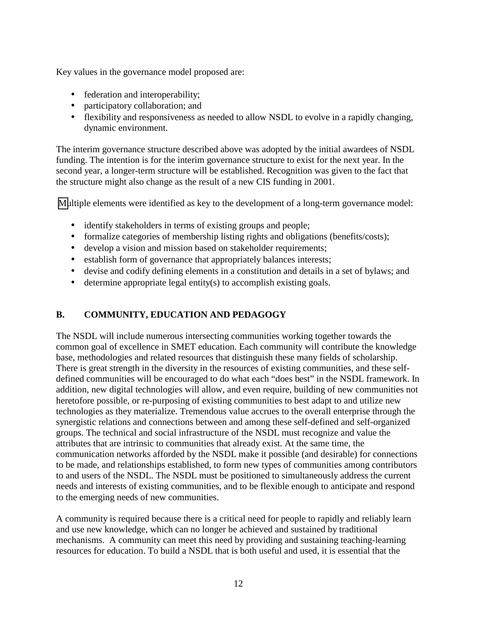Key values in the governance model proposed are:

- federation and interoperability;
- participatory collaboration; and
- flexibility and responsiveness as needed to allow NSDL to evolve in a rapidly changing, dynamic environment.

The interim governance structure described above was adopted by the initial awardees of NSDL funding. The intention is for the interim governance structure to exist for the next year. In the second year, a longer-term structure will be established. Recognition was given to the fact that the structure might also change as the result of a new CIS funding in 2001.

 [Mu](http://www.smete.org/)ltiple elements were identified as key to the development of a long-term governance model:

- identify stakeholders in terms of existing groups and people;
- formalize categories of membership listing rights and obligations (benefits/costs);
- develop a vision and mission based on stakeholder requirements;
- establish form of governance that appropriately balances interests;
- devise and codify defining elements in a constitution and details in a set of bylaws; and
- determine appropriate legal entity(s) to accomplish existing goals.

#### **B. COMMUNITY, EDUCATION AND PEDAGOGY**

The NSDL will include numerous intersecting communities working together towards the common goal of excellence in SMET education. Each community will contribute the knowledge base, methodologies and related resources that distinguish these many fields of scholarship. There is great strength in the diversity in the resources of existing communities, and these selfdefined communities will be encouraged to do what each "does best" in the NSDL framework. In addition, new digital technologies will allow, and even require, building of new communities not heretofore possible, or re-purposing of existing communities to best adapt to and utilize new technologies as they materialize. Tremendous value accrues to the overall enterprise through the synergistic relations and connections between and among these self-defined and self-organized groups. The technical and social infrastructure of the NSDL must recognize and value the attributes that are intrinsic to communities that already exist. At the same time, the communication networks afforded by the NSDL make it possible (and desirable) for connections to be made, and relationships established, to form new types of communities among contributors to and users of the NSDL. The NSDL must be positioned to simultaneously address the current needs and interests of existing communities, and to be flexible enough to anticipate and respond to the emerging needs of new communities.

A community is required because there is a critical need for people to rapidly and reliably learn and use new knowledge, which can no longer be achieved and sustained by traditional mechanisms. A community can meet this need by providing and sustaining teaching-learning resources for education. To build a NSDL that is both useful and used, it is essential that the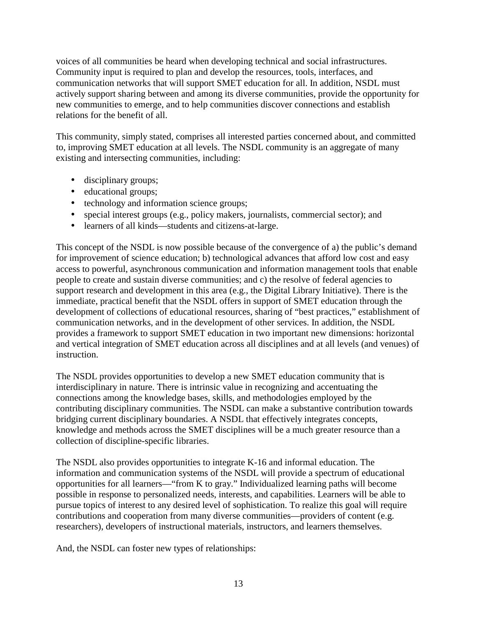voices of all communities be heard when developing technical and social infrastructures. Community input is required to plan and develop the resources, tools, interfaces, and communication networks that will support SMET education for all. In addition, NSDL must actively support sharing between and among its diverse communities, provide the opportunity for new communities to emerge, and to help communities discover connections and establish relations for the benefit of all.

This community, simply stated, comprises all interested parties concerned about, and committed to, improving SMET education at all levels. The NSDL community is an aggregate of many existing and intersecting communities, including:

- disciplinary groups;
- educational groups;
- technology and information science groups;
- special interest groups (e.g., policy makers, journalists, commercial sector); and
- learners of all kinds—students and citizens-at-large.

This concept of the NSDL is now possible because of the convergence of a) the public's demand for improvement of science education; b) technological advances that afford low cost and easy access to powerful, asynchronous communication and information management tools that enable people to create and sustain diverse communities; and c) the resolve of federal agencies to support research and development in this area (e.g., the Digital Library Initiative). There is the immediate, practical benefit that the NSDL offers in support of SMET education through the development of collections of educational resources, sharing of "best practices," establishment of communication networks, and in the development of other services. In addition, the NSDL provides a framework to support SMET education in two important new dimensions: horizontal and vertical integration of SMET education across all disciplines and at all levels (and venues) of instruction.

The NSDL provides opportunities to develop a new SMET education community that is interdisciplinary in nature. There is intrinsic value in recognizing and accentuating the connections among the knowledge bases, skills, and methodologies employed by the contributing disciplinary communities. The NSDL can make a substantive contribution towards bridging current disciplinary boundaries. A NSDL that effectively integrates concepts, knowledge and methods across the SMET disciplines will be a much greater resource than a collection of discipline-specific libraries.

The NSDL also provides opportunities to integrate K-16 and informal education. The information and communication systems of the NSDL will provide a spectrum of educational opportunities for all learners—"from K to gray." Individualized learning paths will become possible in response to personalized needs, interests, and capabilities. Learners will be able to pursue topics of interest to any desired level of sophistication. To realize this goal will require contributions and cooperation from many diverse communities—providers of content (e.g. researchers), developers of instructional materials, instructors, and learners themselves.

And, the NSDL can foster new types of relationships: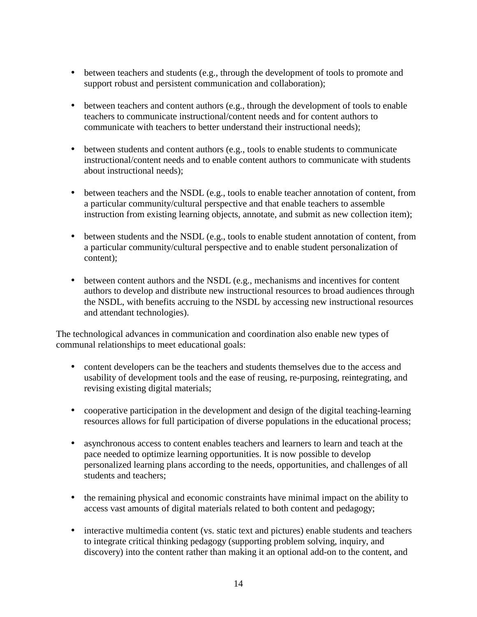- between teachers and students (e.g., through the development of tools to promote and support robust and persistent communication and collaboration);
- between teachers and content authors (e.g., through the development of tools to enable teachers to communicate instructional/content needs and for content authors to communicate with teachers to better understand their instructional needs);
- between students and content authors (e.g., tools to enable students to communicate instructional/content needs and to enable content authors to communicate with students about instructional needs);
- between teachers and the NSDL (e.g., tools to enable teacher annotation of content, from a particular community/cultural perspective and that enable teachers to assemble instruction from existing learning objects, annotate, and submit as new collection item);
- between students and the NSDL (e.g., tools to enable student annotation of content, from a particular community/cultural perspective and to enable student personalization of content);
- between content authors and the NSDL (e.g., mechanisms and incentives for content authors to develop and distribute new instructional resources to broad audiences through the NSDL, with benefits accruing to the NSDL by accessing new instructional resources and attendant technologies).

The technological advances in communication and coordination also enable new types of communal relationships to meet educational goals:

- content developers can be the teachers and students themselves due to the access and usability of development tools and the ease of reusing, re-purposing, reintegrating, and revising existing digital materials;
- cooperative participation in the development and design of the digital teaching-learning resources allows for full participation of diverse populations in the educational process;
- asynchronous access to content enables teachers and learners to learn and teach at the pace needed to optimize learning opportunities. It is now possible to develop personalized learning plans according to the needs, opportunities, and challenges of all students and teachers;
- the remaining physical and economic constraints have minimal impact on the ability to access vast amounts of digital materials related to both content and pedagogy;
- interactive multimedia content (vs. static text and pictures) enable students and teachers to integrate critical thinking pedagogy (supporting problem solving, inquiry, and discovery) into the content rather than making it an optional add-on to the content, and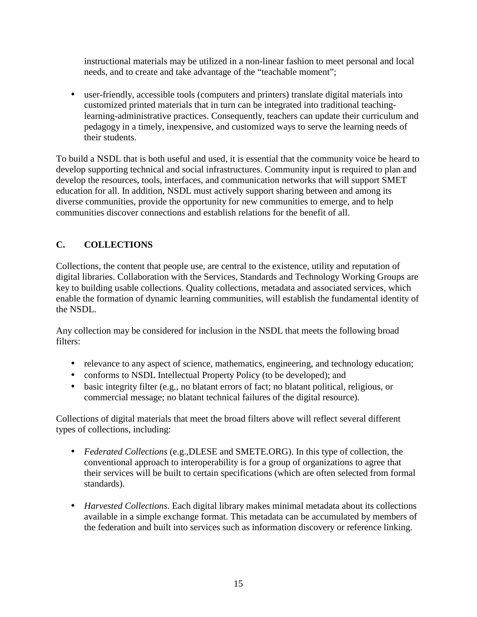instructional materials may be utilized in a non-linear fashion to meet personal and local needs, and to create and take advantage of the "teachable moment";

• user-friendly, accessible tools (computers and printers) translate digital materials into customized printed materials that in turn can be integrated into traditional teachinglearning-administrative practices. Consequently, teachers can update their curriculum and pedagogy in a timely, inexpensive, and customized ways to serve the learning needs of their students.

To build a NSDL that is both useful and used, it is essential that the community voice be heard to develop supporting technical and social infrastructures. Community input is required to plan and develop the resources, tools, interfaces, and communication networks that will support SMET education for all. In addition, NSDL must actively support sharing between and among its diverse communities, provide the opportunity for new communities to emerge, and to help communities discover connections and establish relations for the benefit of all.

### **C. COLLECTIONS**

Collections, the content that people use, are central to the existence, utility and reputation of digital libraries. Collaboration with the Services, Standards and Technology Working Groups are key to building usable collections. Quality collections, metadata and associated services, which enable the formation of dynamic learning communities, will establish the fundamental identity of the NSDL.

Any collection may be considered for inclusion in the NSDL that meets the following broad filters:

- relevance to any aspect of science, mathematics, engineering, and technology education;
- conforms to NSDL Intellectual Property Policy (to be developed); and
- basic integrity filter (e.g., no blatant errors of fact; no blatant political, religious, or commercial message; no blatant technical failures of the digital resource).

Collections of digital materials that meet the broad filters above will reflect several different types of collections, including:

- *Federated Collections* (e.g.,DLESE and SMETE.ORG). In this type of collection, the conventional approach to interoperability is for a group of organizations to agree that their services will be built to certain specifications (which are often selected from formal standards).
- *Harvested Collections*. Each digital library makes minimal metadata about its collections available in a simple exchange format. This metadata can be accumulated by members of the federation and built into services such as information discovery or reference linking.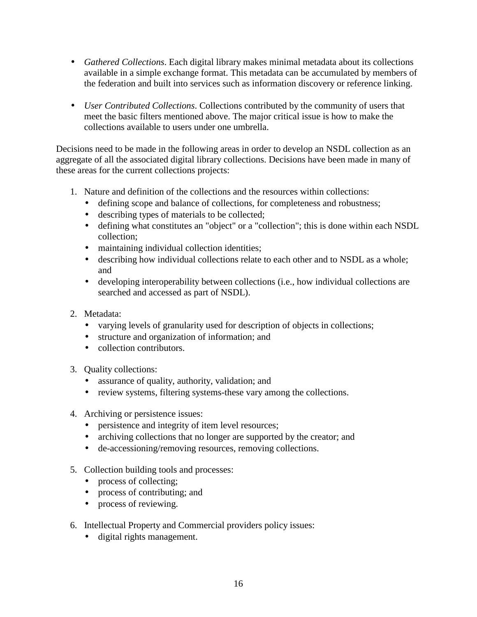- *Gathered Collections*. Each digital library makes minimal metadata about its collections available in a simple exchange format. This metadata can be accumulated by members of the federation and built into services such as information discovery or reference linking.
- *User Contributed Collections*. Collections contributed by the community of users that meet the basic filters mentioned above. The major critical issue is how to make the collections available to users under one umbrella.

Decisions need to be made in the following areas in order to develop an NSDL collection as an aggregate of all the associated digital library collections. Decisions have been made in many of these areas for the current collections projects:

- 1. Nature and definition of the collections and the resources within collections:
	- defining scope and balance of collections, for completeness and robustness;
	- describing types of materials to be collected;
	- defining what constitutes an "object" or a "collection"; this is done within each NSDL collection;
	- maintaining individual collection identities;
	- describing how individual collections relate to each other and to NSDL as a whole; and
	- developing interoperability between collections (i.e., how individual collections are searched and accessed as part of NSDL).
- 2. Metadata:
	- varying levels of granularity used for description of objects in collections;
	- structure and organization of information; and
	- collection contributors.
- 3. Quality collections:
	- assurance of quality, authority, validation; and
	- review systems, filtering systems-these vary among the collections.
- 4. Archiving or persistence issues:
	- persistence and integrity of item level resources;
	- archiving collections that no longer are supported by the creator; and
	- de-accessioning/removing resources, removing collections.
- 5. Collection building tools and processes:
	- process of collecting;
	- process of contributing; and
	- process of reviewing.
- 6. Intellectual Property and Commercial providers policy issues:
	- digital rights management.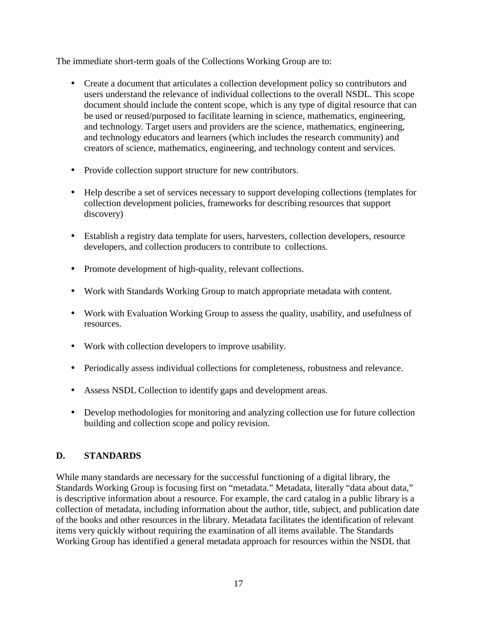The immediate short-term goals of the Collections Working Group are to:

- Create a document that articulates a collection development policy so contributors and users understand the relevance of individual collections to the overall NSDL. This scope document should include the content scope, which is any type of digital resource that can be used or reused/purposed to facilitate learning in science, mathematics, engineering, and technology. Target users and providers are the science, mathematics, engineering, and technology educators and learners (which includes the research community) and creators of science, mathematics, engineering, and technology content and services.
- Provide collection support structure for new contributors.
- Help describe a set of services necessary to support developing collections (templates for collection development policies, frameworks for describing resources that support discovery)
- Establish a registry data template for users, harvesters, collection developers, resource developers, and collection producers to contribute to collections.
- Promote development of high-quality, relevant collections.
- Work with Standards Working Group to match appropriate metadata with content.
- Work with Evaluation Working Group to assess the quality, usability, and usefulness of resources.
- Work with collection developers to improve usability.
- Periodically assess individual collections for completeness, robustness and relevance.
- Assess NSDL Collection to identify gaps and development areas.
- Develop methodologies for monitoring and analyzing collection use for future collection building and collection scope and policy revision.

#### **D. STANDARDS**

While many standards are necessary for the successful functioning of a digital library, the Standards Working Group is focusing first on "metadata." Metadata, literally "data about data," is descriptive information about a resource. For example, the card catalog in a public library is a collection of metadata, including information about the author, title, subject, and publication date of the books and other resources in the library. Metadata facilitates the identification of relevant items very quickly without requiring the examination of all items available. The Standards Working Group has identified a general metadata approach for resources within the NSDL that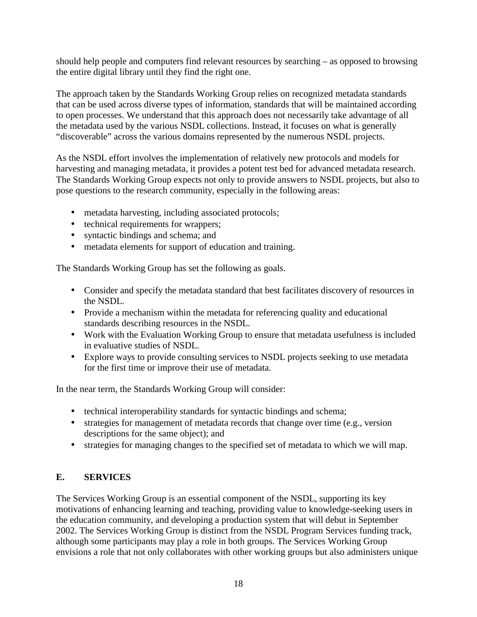should help people and computers find relevant resources by searching – as opposed to browsing the entire digital library until they find the right one.

The approach taken by the Standards Working Group relies on recognized metadata standards that can be used across diverse types of information, standards that will be maintained according to open processes. We understand that this approach does not necessarily take advantage of all the metadata used by the various NSDL collections. Instead, it focuses on what is generally "discoverable" across the various domains represented by the numerous NSDL projects.

As the NSDL effort involves the implementation of relatively new protocols and models for harvesting and managing metadata, it provides a potent test bed for advanced metadata research. The Standards Working Group expects not only to provide answers to NSDL projects, but also to pose questions to the research community, especially in the following areas:

- metadata harvesting, including associated protocols;
- technical requirements for wrappers;
- syntactic bindings and schema; and
- metadata elements for support of education and training.

The Standards Working Group has set the following as goals.

- Consider and specify the metadata standard that best facilitates discovery of resources in the NSDL.
- Provide a mechanism within the metadata for referencing quality and educational standards describing resources in the NSDL.
- Work with the Evaluation Working Group to ensure that metadata usefulness is included in evaluative studies of NSDL.
- Explore ways to provide consulting services to NSDL projects seeking to use metadata for the first time or improve their use of metadata.

In the near term, the Standards Working Group will consider:

- technical interoperability standards for syntactic bindings and schema;
- strategies for management of metadata records that change over time (e.g., version descriptions for the same object); and
- strategies for managing changes to the specified set of metadata to which we will map.

#### **E. SERVICES**

The Services Working Group is an essential component of the NSDL, supporting its key motivations of enhancing learning and teaching, providing value to knowledge-seeking users in the education community, and developing a production system that will debut in September 2002. The Services Working Group is distinct from the NSDL Program Services funding track, although some participants may play a role in both groups. The Services Working Group envisions a role that not only collaborates with other working groups but also administers unique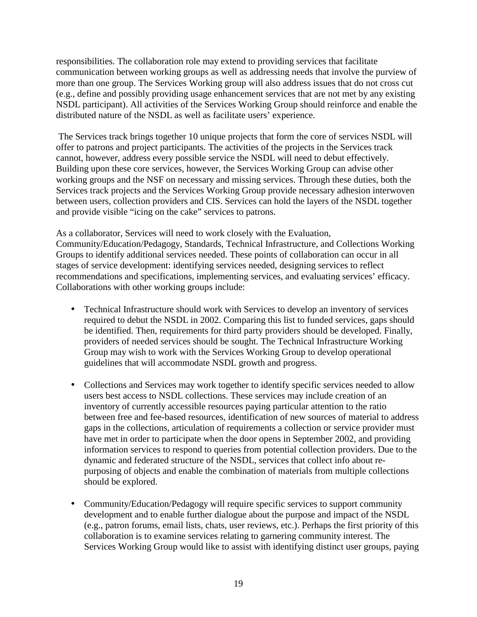responsibilities. The collaboration role may extend to providing services that facilitate communication between working groups as well as addressing needs that involve the purview of more than one group. The Services Working group will also address issues that do not cross cut (e.g., define and possibly providing usage enhancement services that are not met by any existing NSDL participant). All activities of the Services Working Group should reinforce and enable the distributed nature of the NSDL as well as facilitate users' experience.

 The Services track brings together 10 unique projects that form the core of services NSDL will offer to patrons and project participants. The activities of the projects in the Services track cannot, however, address every possible service the NSDL will need to debut effectively. Building upon these core services, however, the Services Working Group can advise other working groups and the NSF on necessary and missing services. Through these duties, both the Services track projects and the Services Working Group provide necessary adhesion interwoven between users, collection providers and CIS. Services can hold the layers of the NSDL together and provide visible "icing on the cake" services to patrons.

As a collaborator, Services will need to work closely with the Evaluation, Community/Education/Pedagogy, Standards, Technical Infrastructure, and Collections Working Groups to identify additional services needed. These points of collaboration can occur in all stages of service development: identifying services needed, designing services to reflect recommendations and specifications, implementing services, and evaluating services' efficacy. Collaborations with other working groups include:

- Technical Infrastructure should work with Services to develop an inventory of services required to debut the NSDL in 2002. Comparing this list to funded services, gaps should be identified. Then, requirements for third party providers should be developed. Finally, providers of needed services should be sought. The Technical Infrastructure Working Group may wish to work with the Services Working Group to develop operational guidelines that will accommodate NSDL growth and progress.
- Collections and Services may work together to identify specific services needed to allow users best access to NSDL collections. These services may include creation of an inventory of currently accessible resources paying particular attention to the ratio between free and fee-based resources, identification of new sources of material to address gaps in the collections, articulation of requirements a collection or service provider must have met in order to participate when the door opens in September 2002, and providing information services to respond to queries from potential collection providers. Due to the dynamic and federated structure of the NSDL, services that collect info about repurposing of objects and enable the combination of materials from multiple collections should be explored.
- Community/Education/Pedagogy will require specific services to support community development and to enable further dialogue about the purpose and impact of the NSDL (e.g., patron forums, email lists, chats, user reviews, etc.). Perhaps the first priority of this collaboration is to examine services relating to garnering community interest. The Services Working Group would like to assist with identifying distinct user groups, paying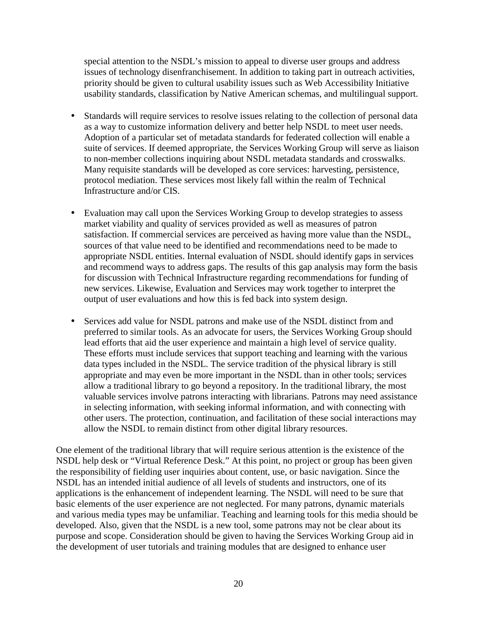special attention to the NSDL's mission to appeal to diverse user groups and address issues of technology disenfranchisement. In addition to taking part in outreach activities, priority should be given to cultural usability issues such as Web Accessibility Initiative usability standards, classification by Native American schemas, and multilingual support.

- Standards will require services to resolve issues relating to the collection of personal data as a way to customize information delivery and better help NSDL to meet user needs. Adoption of a particular set of metadata standards for federated collection will enable a suite of services. If deemed appropriate, the Services Working Group will serve as liaison to non-member collections inquiring about NSDL metadata standards and crosswalks. Many requisite standards will be developed as core services: harvesting, persistence, protocol mediation. These services most likely fall within the realm of Technical Infrastructure and/or CIS.
- Evaluation may call upon the Services Working Group to develop strategies to assess market viability and quality of services provided as well as measures of patron satisfaction. If commercial services are perceived as having more value than the NSDL, sources of that value need to be identified and recommendations need to be made to appropriate NSDL entities. Internal evaluation of NSDL should identify gaps in services and recommend ways to address gaps. The results of this gap analysis may form the basis for discussion with Technical Infrastructure regarding recommendations for funding of new services. Likewise, Evaluation and Services may work together to interpret the output of user evaluations and how this is fed back into system design.
- Services add value for NSDL patrons and make use of the NSDL distinct from and preferred to similar tools. As an advocate for users, the Services Working Group should lead efforts that aid the user experience and maintain a high level of service quality. These efforts must include services that support teaching and learning with the various data types included in the NSDL. The service tradition of the physical library is still appropriate and may even be more important in the NSDL than in other tools; services allow a traditional library to go beyond a repository. In the traditional library, the most valuable services involve patrons interacting with librarians. Patrons may need assistance in selecting information, with seeking informal information, and with connecting with other users. The protection, continuation, and facilitation of these social interactions may allow the NSDL to remain distinct from other digital library resources.

One element of the traditional library that will require serious attention is the existence of the NSDL help desk or "Virtual Reference Desk." At this point, no project or group has been given the responsibility of fielding user inquiries about content, use, or basic navigation. Since the NSDL has an intended initial audience of all levels of students and instructors, one of its applications is the enhancement of independent learning. The NSDL will need to be sure that basic elements of the user experience are not neglected. For many patrons, dynamic materials and various media types may be unfamiliar. Teaching and learning tools for this media should be developed. Also, given that the NSDL is a new tool, some patrons may not be clear about its purpose and scope. Consideration should be given to having the Services Working Group aid in the development of user tutorials and training modules that are designed to enhance user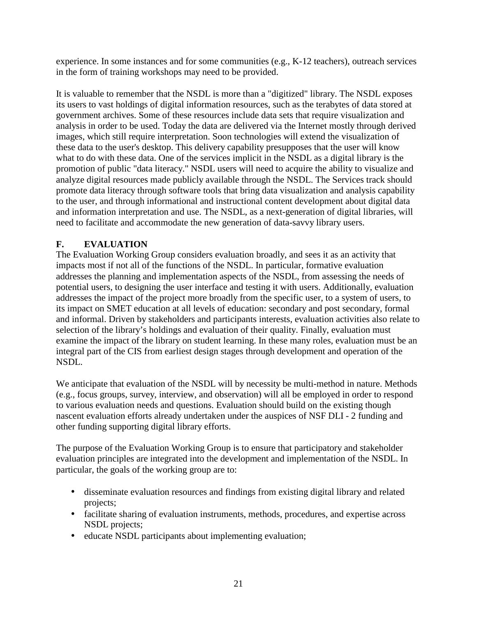experience. In some instances and for some communities (e.g., K-12 teachers), outreach services in the form of training workshops may need to be provided.

It is valuable to remember that the NSDL is more than a "digitized" library. The NSDL exposes its users to vast holdings of digital information resources, such as the terabytes of data stored at government archives. Some of these resources include data sets that require visualization and analysis in order to be used. Today the data are delivered via the Internet mostly through derived images, which still require interpretation. Soon technologies will extend the visualization of these data to the user's desktop. This delivery capability presupposes that the user will know what to do with these data. One of the services implicit in the NSDL as a digital library is the promotion of public "data literacy." NSDL users will need to acquire the ability to visualize and analyze digital resources made publicly available through the NSDL. The Services track should promote data literacy through software tools that bring data visualization and analysis capability to the user, and through informational and instructional content development about digital data and information interpretation and use. The NSDL, as a next-generation of digital libraries, will need to facilitate and accommodate the new generation of data-savvy library users.

#### **F. EVALUATION**

The Evaluation Working Group considers evaluation broadly, and sees it as an activity that impacts most if not all of the functions of the NSDL. In particular, formative evaluation addresses the planning and implementation aspects of the NSDL, from assessing the needs of potential users, to designing the user interface and testing it with users. Additionally, evaluation addresses the impact of the project more broadly from the specific user, to a system of users, to its impact on SMET education at all levels of education: secondary and post secondary, formal and informal. Driven by stakeholders and participants interests, evaluation activities also relate to selection of the library's holdings and evaluation of their quality. Finally, evaluation must examine the impact of the library on student learning. In these many roles, evaluation must be an integral part of the CIS from earliest design stages through development and operation of the NSDL.

We anticipate that evaluation of the NSDL will by necessity be multi-method in nature. Methods (e.g., focus groups, survey, interview, and observation) will all be employed in order to respond to various evaluation needs and questions. Evaluation should build on the existing though nascent evaluation efforts already undertaken under the auspices of NSF DLI - 2 funding and other funding supporting digital library efforts.

The purpose of the Evaluation Working Group is to ensure that participatory and stakeholder evaluation principles are integrated into the development and implementation of the NSDL. In particular, the goals of the working group are to:

- disseminate evaluation resources and findings from existing digital library and related projects;
- facilitate sharing of evaluation instruments, methods, procedures, and expertise across NSDL projects;
- educate NSDL participants about implementing evaluation;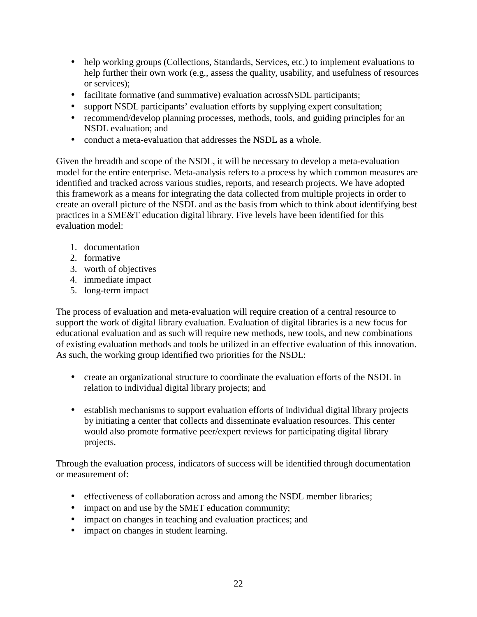- help working groups (Collections, Standards, Services, etc.) to implement evaluations to help further their own work (e.g., assess the quality, usability, and usefulness of resources or services);
- facilitate formative (and summative) evaluation acrossNSDL participants;
- support NSDL participants' evaluation efforts by supplying expert consultation;
- recommend/develop planning processes, methods, tools, and guiding principles for an NSDL evaluation; and
- conduct a meta-evaluation that addresses the NSDL as a whole.

Given the breadth and scope of the NSDL, it will be necessary to develop a meta-evaluation model for the entire enterprise. Meta-analysis refers to a process by which common measures are identified and tracked across various studies, reports, and research projects. We have adopted this framework as a means for integrating the data collected from multiple projects in order to create an overall picture of the NSDL and as the basis from which to think about identifying best practices in a SME&T education digital library. Five levels have been identified for this evaluation model:

- 1. documentation
- 2. formative
- 3. worth of objectives
- 4. immediate impact
- 5. long-term impact

The process of evaluation and meta-evaluation will require creation of a central resource to support the work of digital library evaluation. Evaluation of digital libraries is a new focus for educational evaluation and as such will require new methods, new tools, and new combinations of existing evaluation methods and tools be utilized in an effective evaluation of this innovation. As such, the working group identified two priorities for the NSDL:

- create an organizational structure to coordinate the evaluation efforts of the NSDL in relation to individual digital library projects; and
- establish mechanisms to support evaluation efforts of individual digital library projects by initiating a center that collects and disseminate evaluation resources. This center would also promote formative peer/expert reviews for participating digital library projects.

Through the evaluation process, indicators of success will be identified through documentation or measurement of:

- effectiveness of collaboration across and among the NSDL member libraries;
- impact on and use by the SMET education community;
- impact on changes in teaching and evaluation practices; and
- impact on changes in student learning.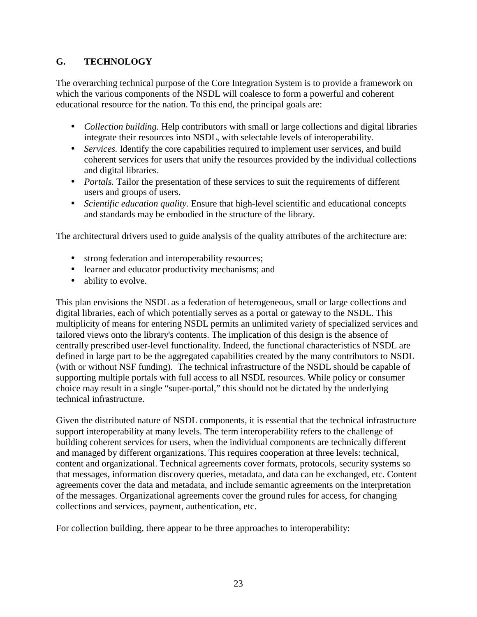#### **G. TECHNOLOGY**

The overarching technical purpose of the Core Integration System is to provide a framework on which the various components of the NSDL will coalesce to form a powerful and coherent educational resource for the nation. To this end, the principal goals are:

- *Collection building*. Help contributors with small or large collections and digital libraries integrate their resources into NSDL, with selectable levels of interoperability.
- *Services*. Identify the core capabilities required to implement user services, and build coherent services for users that unify the resources provided by the individual collections and digital libraries.
- *Portals*. Tailor the presentation of these services to suit the requirements of different users and groups of users.
- *Scientific education quality.* Ensure that high-level scientific and educational concepts and standards may be embodied in the structure of the library.

The architectural drivers used to guide analysis of the quality attributes of the architecture are:

- strong federation and interoperability resources;
- learner and educator productivity mechanisms; and
- ability to evolve.

This plan envisions the NSDL as a federation of heterogeneous, small or large collections and digital libraries, each of which potentially serves as a portal or gateway to the NSDL. This multiplicity of means for entering NSDL permits an unlimited variety of specialized services and tailored views onto the library's contents. The implication of this design is the absence of centrally prescribed user-level functionality. Indeed, the functional characteristics of NSDL are defined in large part to be the aggregated capabilities created by the many contributors to NSDL (with or without NSF funding). The technical infrastructure of the NSDL should be capable of supporting multiple portals with full access to all NSDL resources. While policy or consumer choice may result in a single "super-portal," this should not be dictated by the underlying technical infrastructure.

Given the distributed nature of NSDL components, it is essential that the technical infrastructure support interoperability at many levels. The term interoperability refers to the challenge of building coherent services for users, when the individual components are technically different and managed by different organizations. This requires cooperation at three levels: technical, content and organizational. Technical agreements cover formats, protocols, security systems so that messages, information discovery queries, metadata, and data can be exchanged, etc. Content agreements cover the data and metadata, and include semantic agreements on the interpretation of the messages. Organizational agreements cover the ground rules for access, for changing collections and services, payment, authentication, etc.

For collection building, there appear to be three approaches to interoperability: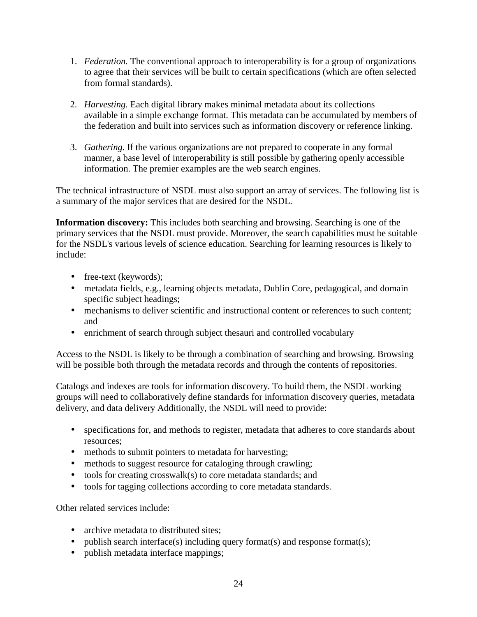- 1. *Federation.* The conventional approach to interoperability is for a group of organizations to agree that their services will be built to certain specifications (which are often selected from formal standards).
- 2. *Harvesting.* Each digital library makes minimal metadata about its collections available in a simple exchange format. This metadata can be accumulated by members of the federation and built into services such as information discovery or reference linking.
- 3. *Gathering.* If the various organizations are not prepared to cooperate in any formal manner, a base level of interoperability is still possible by gathering openly accessible information. The premier examples are the web search engines.

The technical infrastructure of NSDL must also support an array of services. The following list is a summary of the major services that are desired for the NSDL.

**Information discovery:** This includes both searching and browsing. Searching is one of the primary services that the NSDL must provide. Moreover, the search capabilities must be suitable for the NSDL's various levels of science education. Searching for learning resources is likely to include:

- free-text (keywords);
- metadata fields, e.g., learning objects metadata, Dublin Core, pedagogical, and domain specific subject headings;
- mechanisms to deliver scientific and instructional content or references to such content; and
- enrichment of search through subject thesauri and controlled vocabulary

Access to the NSDL is likely to be through a combination of searching and browsing. Browsing will be possible both through the metadata records and through the contents of repositories.

Catalogs and indexes are tools for information discovery. To build them, the NSDL working groups will need to collaboratively define standards for information discovery queries, metadata delivery, and data delivery Additionally, the NSDL will need to provide:

- specifications for, and methods to register, metadata that adheres to core standards about resources;
- methods to submit pointers to metadata for harvesting;
- methods to suggest resource for cataloging through crawling;
- tools for creating crosswalk(s) to core metadata standards; and
- tools for tagging collections according to core metadata standards.

Other related services include:

- archive metadata to distributed sites;
- publish search interface(s) including query format(s) and response format(s);
- publish metadata interface mappings;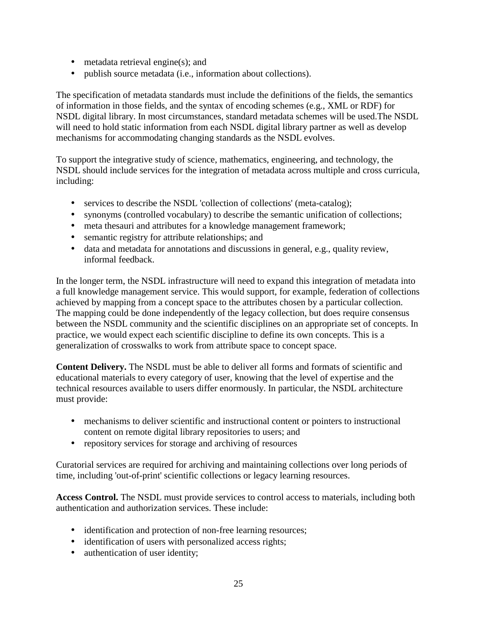- metadata retrieval engine(s); and
- publish source metadata (i.e., information about collections).

The specification of metadata standards must include the definitions of the fields, the semantics of information in those fields, and the syntax of encoding schemes (e.g., XML or RDF) for NSDL digital library. In most circumstances, standard metadata schemes will be used.The NSDL will need to hold static information from each NSDL digital library partner as well as develop mechanisms for accommodating changing standards as the NSDL evolves.

To support the integrative study of science, mathematics, engineering, and technology, the NSDL should include services for the integration of metadata across multiple and cross curricula, including:

- services to describe the NSDL 'collection of collections' (meta-catalog);
- synonyms (controlled vocabulary) to describe the semantic unification of collections;
- meta thesauri and attributes for a knowledge management framework;
- semantic registry for attribute relationships; and
- data and metadata for annotations and discussions in general, e.g., quality review, informal feedback.

In the longer term, the NSDL infrastructure will need to expand this integration of metadata into a full knowledge management service. This would support, for example, federation of collections achieved by mapping from a concept space to the attributes chosen by a particular collection. The mapping could be done independently of the legacy collection, but does require consensus between the NSDL community and the scientific disciplines on an appropriate set of concepts. In practice, we would expect each scientific discipline to define its own concepts. This is a generalization of crosswalks to work from attribute space to concept space.

**Content Delivery.** The NSDL must be able to deliver all forms and formats of scientific and educational materials to every category of user, knowing that the level of expertise and the technical resources available to users differ enormously. In particular, the NSDL architecture must provide:

- mechanisms to deliver scientific and instructional content or pointers to instructional content on remote digital library repositories to users; and
- repository services for storage and archiving of resources

Curatorial services are required for archiving and maintaining collections over long periods of time, including 'out-of-print' scientific collections or legacy learning resources.

**Access Control.** The NSDL must provide services to control access to materials, including both authentication and authorization services. These include:

- identification and protection of non-free learning resources;
- identification of users with personalized access rights;
- authentication of user identity;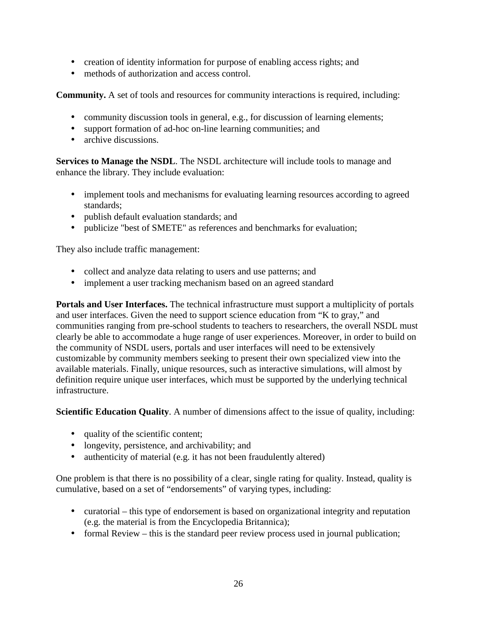- creation of identity information for purpose of enabling access rights; and
- methods of authorization and access control.

**Community.** A set of tools and resources for community interactions is required, including:

- community discussion tools in general, e.g., for discussion of learning elements;
- support formation of ad-hoc on-line learning communities; and
- archive discussions.

**Services to Manage the NSDL**. The NSDL architecture will include tools to manage and enhance the library. They include evaluation:

- implement tools and mechanisms for evaluating learning resources according to agreed standards;
- publish default evaluation standards; and
- publicize "best of SMETE" as references and benchmarks for evaluation;

They also include traffic management:

- collect and analyze data relating to users and use patterns; and
- implement a user tracking mechanism based on an agreed standard

**Portals and User Interfaces.** The technical infrastructure must support a multiplicity of portals and user interfaces. Given the need to support science education from "K to gray," and communities ranging from pre-school students to teachers to researchers, the overall NSDL must clearly be able to accommodate a huge range of user experiences. Moreover, in order to build on the community of NSDL users, portals and user interfaces will need to be extensively customizable by community members seeking to present their own specialized view into the available materials. Finally, unique resources, such as interactive simulations, will almost by definition require unique user interfaces, which must be supported by the underlying technical infrastructure.

**Scientific Education Quality**. A number of dimensions affect to the issue of quality, including:

- quality of the scientific content;
- longevity, persistence, and archivability; and
- authenticity of material (e.g. it has not been fraudulently altered)

One problem is that there is no possibility of a clear, single rating for quality. Instead, quality is cumulative, based on a set of "endorsements" of varying types, including:

- curatorial this type of endorsement is based on organizational integrity and reputation (e.g. the material is from the Encyclopedia Britannica);
- formal Review this is the standard peer review process used in journal publication;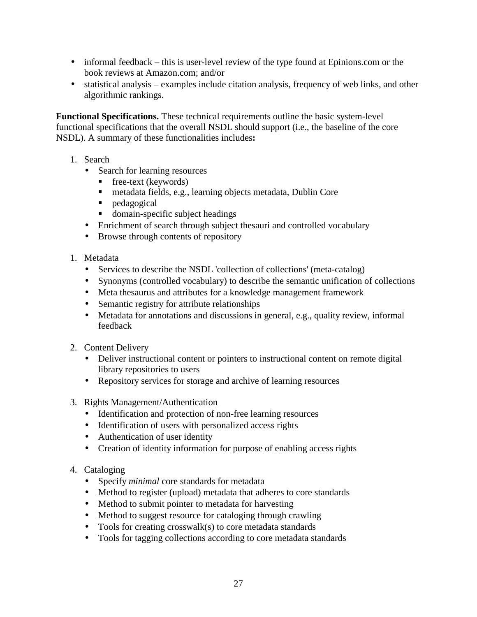- informal feedback this is user-level review of the type found at Epinions.com or the book reviews at Amazon.com; and/or
- statistical analysis examples include citation analysis, frequency of web links, and other algorithmic rankings.

**Functional Specifications.** These technical requirements outline the basic system-level functional specifications that the overall NSDL should support (i.e., the baseline of the core NSDL). A summary of these functionalities includes**:** 

- 1. Search
	- Search for learning resources
		- $\blacksquare$  free-text (keywords)
		- metadata fields, e.g., learning objects metadata, Dublin Core
		- **pedagogical**
		- domain-specific subject headings
	- Enrichment of search through subject thesauri and controlled vocabulary
	- Browse through contents of repository
- 1. Metadata
	- Services to describe the NSDL 'collection of collections' (meta-catalog)
	- Synonyms (controlled vocabulary) to describe the semantic unification of collections
	- Meta thesaurus and attributes for a knowledge management framework
	- Semantic registry for attribute relationships
	- Metadata for annotations and discussions in general, e.g., quality review, informal feedback
- 2. Content Delivery
	- Deliver instructional content or pointers to instructional content on remote digital library repositories to users
	- Repository services for storage and archive of learning resources
- 3. Rights Management/Authentication
	- Identification and protection of non-free learning resources
	- Identification of users with personalized access rights
	- Authentication of user identity
	- Creation of identity information for purpose of enabling access rights
- 4. Cataloging
	- Specify *minimal* core standards for metadata
	- Method to register (upload) metadata that adheres to core standards
	- Method to submit pointer to metadata for harvesting
	- Method to suggest resource for cataloging through crawling
	- Tools for creating crosswalk(s) to core metadata standards
	- Tools for tagging collections according to core metadata standards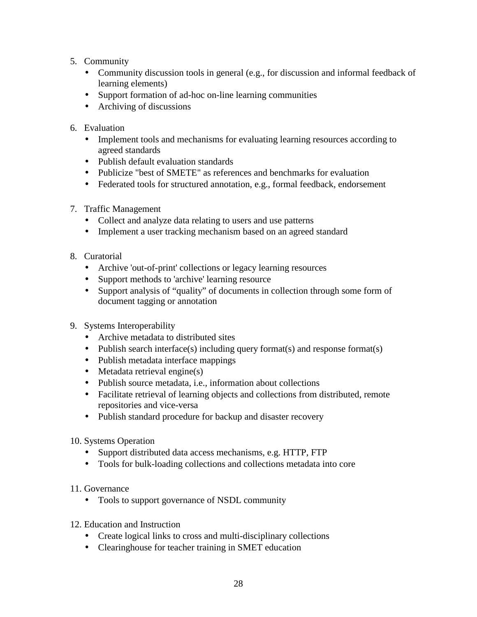- 5. Community
	- Community discussion tools in general (e.g., for discussion and informal feedback of learning elements)
	- Support formation of ad-hoc on-line learning communities
	- Archiving of discussions

#### 6. Evaluation

- Implement tools and mechanisms for evaluating learning resources according to agreed standards
- Publish default evaluation standards
- Publicize "best of SMETE" as references and benchmarks for evaluation
- Federated tools for structured annotation, e.g., formal feedback, endorsement
- 7. Traffic Management
	- Collect and analyze data relating to users and use patterns
	- Implement a user tracking mechanism based on an agreed standard
- 8. Curatorial
	- Archive 'out-of-print' collections or legacy learning resources
	- Support methods to 'archive' learning resource
	- Support analysis of "quality" of documents in collection through some form of document tagging or annotation
- 9. Systems Interoperability
	- Archive metadata to distributed sites
	- Publish search interface(s) including query format(s) and response format(s)
	- Publish metadata interface mappings
	- Metadata retrieval engine(s)
	- Publish source metadata, i.e., information about collections
	- Facilitate retrieval of learning objects and collections from distributed, remote repositories and vice-versa
	- Publish standard procedure for backup and disaster recovery
- 10. Systems Operation
	- Support distributed data access mechanisms, e.g. HTTP, FTP
	- Tools for bulk-loading collections and collections metadata into core

11. Governance

- Tools to support governance of NSDL community
- 12. Education and Instruction
	- Create logical links to cross and multi-disciplinary collections
	- Clearinghouse for teacher training in SMET education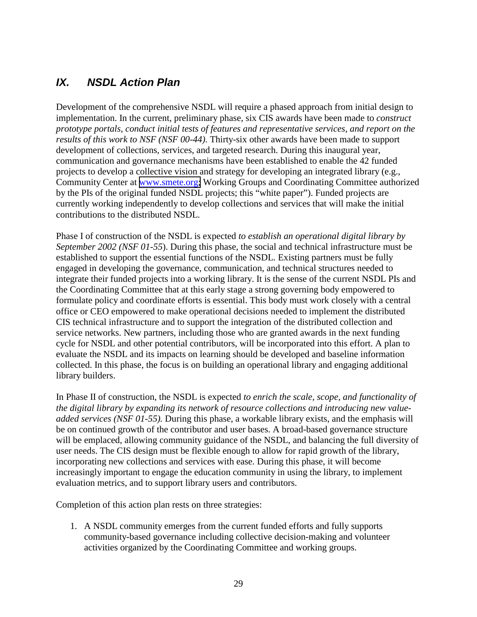### *IX. NSDL Action Plan*

Development of the comprehensive NSDL will require a phased approach from initial design to implementation. In the current, preliminary phase, six CIS awards have been made to *construct prototype portals, conduct initial tests of features and representative services, and report on the results of this work to NSF (NSF 00-44)*. Thirty-six other awards have been made to support development of collections, services, and targeted research. During this inaugural year, communication and governance mechanisms have been established to enable the 42 funded projects to develop a collective vision and strategy for developing an integrated library (e.g., Community Center at [www.smete.org;](http://www.smete.org/) Working Groups and Coordinating Committee authorized by the PIs of the original funded NSDL projects; this "white paper"). Funded projects are currently working independently to develop collections and services that will make the initial contributions to the distributed NSDL.

Phase I of construction of the NSDL is expected *to establish an operational digital library by September 2002 (NSF 01-55*). During this phase, the social and technical infrastructure must be established to support the essential functions of the NSDL. Existing partners must be fully engaged in developing the governance, communication, and technical structures needed to integrate their funded projects into a working library. It is the sense of the current NSDL PIs and the Coordinating Committee that at this early stage a strong governing body empowered to formulate policy and coordinate efforts is essential. This body must work closely with a central office or CEO empowered to make operational decisions needed to implement the distributed CIS technical infrastructure and to support the integration of the distributed collection and service networks. New partners, including those who are granted awards in the next funding cycle for NSDL and other potential contributors, will be incorporated into this effort. A plan to evaluate the NSDL and its impacts on learning should be developed and baseline information collected. In this phase, the focus is on building an operational library and engaging additional library builders.

In Phase II of construction, the NSDL is expected *to enrich the scale, scope, and functionality of the digital library by expanding its network of resource collections and introducing new valueadded services (NSF 01-55).* During this phase, a workable library exists, and the emphasis will be on continued growth of the contributor and user bases. A broad-based governance structure will be emplaced, allowing community guidance of the NSDL, and balancing the full diversity of user needs. The CIS design must be flexible enough to allow for rapid growth of the library, incorporating new collections and services with ease. During this phase, it will become increasingly important to engage the education community in using the library, to implement evaluation metrics, and to support library users and contributors.

Completion of this action plan rests on three strategies:

1. A NSDL community emerges from the current funded efforts and fully supports community-based governance including collective decision-making and volunteer activities organized by the Coordinating Committee and working groups.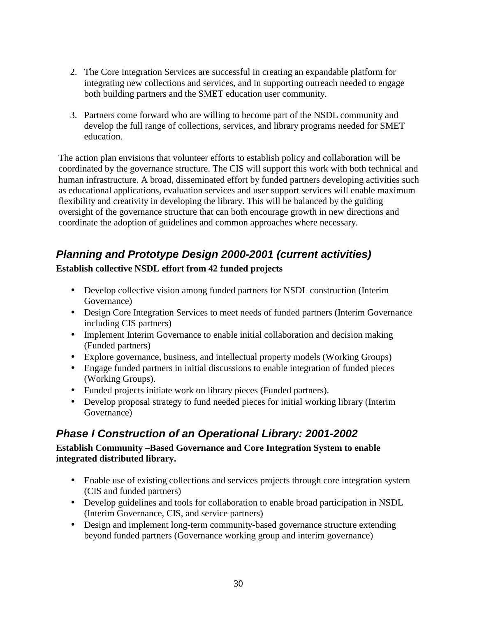- 2. The Core Integration Services are successful in creating an expandable platform for integrating new collections and services, and in supporting outreach needed to engage both building partners and the SMET education user community.
- 3. Partners come forward who are willing to become part of the NSDL community and develop the full range of collections, services, and library programs needed for SMET education.

The action plan envisions that volunteer efforts to establish policy and collaboration will be coordinated by the governance structure. The CIS will support this work with both technical and human infrastructure. A broad, disseminated effort by funded partners developing activities such as educational applications, evaluation services and user support services will enable maximum flexibility and creativity in developing the library. This will be balanced by the guiding oversight of the governance structure that can both encourage growth in new directions and coordinate the adoption of guidelines and common approaches where necessary.

# *Planning and Prototype Design 2000-2001 (current activities)*

**Establish collective NSDL effort from 42 funded projects** 

- Develop collective vision among funded partners for NSDL construction (Interim Governance)
- Design Core Integration Services to meet needs of funded partners (Interim Governance including CIS partners)
- Implement Interim Governance to enable initial collaboration and decision making (Funded partners)
- Explore governance, business, and intellectual property models (Working Groups)
- Engage funded partners in initial discussions to enable integration of funded pieces (Working Groups).
- Funded projects initiate work on library pieces (Funded partners).
- Develop proposal strategy to fund needed pieces for initial working library (Interim Governance)

# *Phase I Construction of an Operational Library: 2001-2002*

#### **Establish Community –Based Governance and Core Integration System to enable integrated distributed library.**

- Enable use of existing collections and services projects through core integration system (CIS and funded partners)
- Develop guidelines and tools for collaboration to enable broad participation in NSDL (Interim Governance, CIS, and service partners)
- Design and implement long-term community-based governance structure extending beyond funded partners (Governance working group and interim governance)